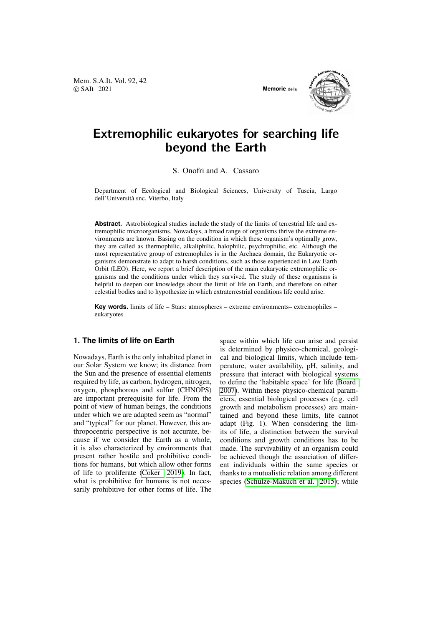Mem. S.A.It. Vol. 92, 42 © SAIt 2021 **Memorie** della



# Extremophilic eukaryotes for searching life beyond the Earth

S. Onofri and A. Cassaro

Department of Ecological and Biological Sciences, University of Tuscia, Largo dell'Università snc, Viterbo, Italy

**Abstract.** Astrobiological studies include the study of the limits of terrestrial life and extremophilic microorganisms. Nowadays, a broad range of organisms thrive the extreme environments are known. Basing on the condition in which these organism's optimally grow, they are called as thermophilic, alkaliphilic, halophilic, psychrophilic, etc. Although the most representative group of extremophiles is in the Archaea domain, the Eukaryotic organisms demonstrate to adapt to harsh conditions, such as those experienced in Low Earth Orbit (LEO). Here, we report a brief description of the main eukaryotic extremophilic organisms and the conditions under which they survived. The study of these organisms is helpful to deepen our knowledge about the limit of life on Earth, and therefore on other celestial bodies and to hypothesize in which extraterrestrial conditions life could arise.

**Key words.** limits of life – Stars: atmospheres – extreme environments– extremophiles – eukaryotes

## **1. The limits of life on Earth**

Nowadays, Earth is the only inhabited planet in our Solar System we know; its distance from the Sun and the presence of essential elements required by life, as carbon, hydrogen, nitrogen, oxygen, phosphorous and sulfur (CHNOPS) are important prerequisite for life. From the point of view of human beings, the conditions under which we are adapted seem as "normal" and "typical" for our planet. However, this anthropocentric perspective is not accurate, because if we consider the Earth as a whole, it is also characterized by environments that present rather hostile and prohibitive conditions for humans, but which allow other forms of life to proliferate [\(Coker 2019\)](#page-5-0). In fact, what is prohibitive for humans is not necessarily prohibitive for other forms of life. The space within which life can arise and persist is determined by physico-chemical, geological and biological limits, which include temperature, water availability, pH, salinity, and pressure that interact with biological systems to define the 'habitable space' for life [\(Board](#page-5-1) [2007\)](#page-5-1). Within these physico-chemical parameters, essential biological processes (e.g. cell growth and metabolism processes) are maintained and beyond these limits, life cannot adapt (Fig. 1). When considering the limits of life, a distinction between the survival conditions and growth conditions has to be made. The survivability of an organism could be achieved though the association of different individuals within the same species or thanks to a mutualistic relation among different species [\(Schulze-Makuch et al. 2015\)](#page-6-0); while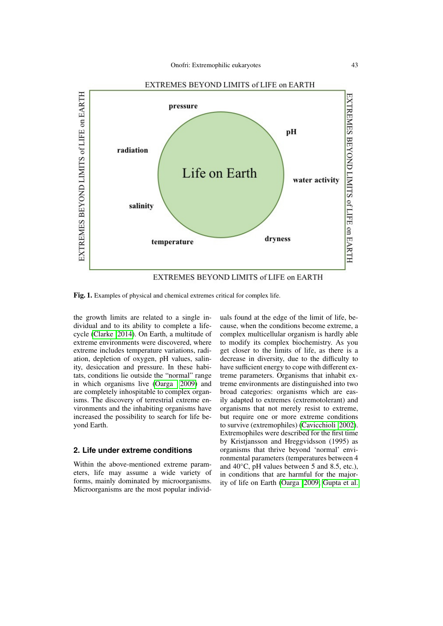

Fig. 1. Examples of physical and chemical extremes critical for complex life.

the growth limits are related to a single individual and to its ability to complete a lifecycle [\(Clarke 2014\)](#page-5-2). On Earth, a multitude of extreme environments were discovered, where extreme includes temperature variations, radiation, depletion of oxygen, pH values, salinity, desiccation and pressure. In these habitats, conditions lie outside the "normal" range in which organisms live [\(Oarga 2009\)](#page-5-3) and are completely inhospitable to complex organisms. The discovery of terrestrial extreme environments and the inhabiting organisms have increased the possibility to search for life beyond Earth.

#### **2. Life under extreme conditions**

Within the above-mentioned extreme parameters, life may assume a wide variety of forms, mainly dominated by microorganisms. Microorganisms are the most popular individuals found at the edge of the limit of life, because, when the conditions become extreme, a complex multicellular organism is hardly able to modify its complex biochemistry. As you get closer to the limits of life, as there is a decrease in diversity, due to the difficulty to have sufficient energy to cope with different extreme parameters. Organisms that inhabit extreme environments are distinguished into two broad categories: organisms which are easily adapted to extremes (extremotolerant) and organisms that not merely resist to extreme, but require one or more extreme conditions to survive (extremophiles) [\(Cavicchioli 2002\)](#page-5-4). Extremophiles were described for the first time by Kristjansson and Hreggvidsson (1995) as organisms that thrive beyond 'normal' environmental parameters (temperatures between 4 and 40°C, pH values between 5 and 8.5, etc.), in conditions that are harmful for the majority of life on Earth [\(Oarga 2009;](#page-5-3) [Gupta et al.](#page-5-5)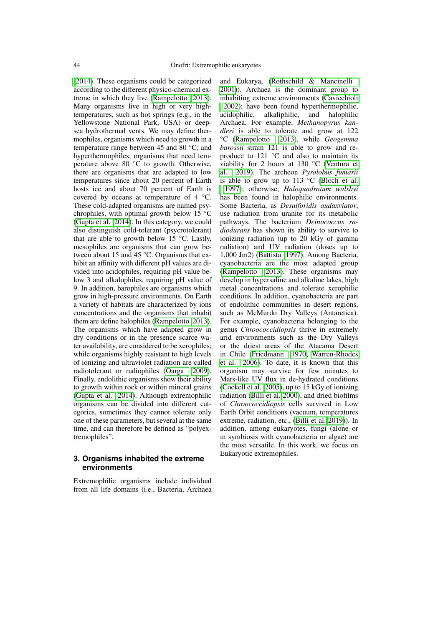[2014\)](#page-5-5). These organisms could be categorized according to the different physico-chemical extreme in which they live [\(Rampelotto 2013\)](#page-6-1). Many organisms live in high or very hightemperatures, such as hot springs (e.g., in the Yellowstone National Park, USA) or deepsea hydrothermal vents. We may define thermophiles, organisms which need to growth in a temperature range between 45 and 80 °C; and hyperthermophiles, organisms that need temperature above 80 °C to growth. Otherwise, there are organisms that are adapted to low temperatures since about 20 percent of Earth hosts ice and about 70 percent of Earth is covered by oceans at temperature of 4 °C. These cold-adapted organisms are named psychrophiles, with optimal growth below  $15\text{ °C}$ [\(Gupta et al. 2014\)](#page-5-5). In this category, we could also distinguish cold-tolerant (psycrotolerant) that are able to growth below 15  $\degree$ C. Lastly, mesophiles are organisms that can grow between about 15 and 45 °C. Organisms that exhibit an affinity with different pH values are divided into acidophiles, requiring pH value below 3 and alkalophiles, requiring pH value of 9. In addition, barophiles are organisms which grow in high-pressure environments. On Earth a variety of habitats are characterized by ions concentrations and the organisms that inhabit them are define halophiles [\(Rampelotto 2013\)](#page-6-1). The organisms which have adapted grow in dry conditions or in the presence scarce water availability, are considered to be xerophiles; while organisms highly resistant to high levels of ionizing and ultraviolet radiation are called radiotolerant or radiophiles [\(Oarga 2009\)](#page-5-3). Finally, endolithic organisms show their ability to growth within rock or within mineral grains [\(Gupta et al. 2014\)](#page-5-5). Although extremophilic organisms can be divided into different categories, sometimes they cannot tolerate only one of these parameters, but several at the same time, and can therefore be defined as "polyextremophiles".

## **3. Organisms inhabited the extreme environments**

Extremophilic organisms include individual from all life domains (i.e., Bacteria, Archaea and Eukarya, [\(Rothschild & Mancinelli](#page-6-2) [2001\)](#page-6-2)). Archaea is the dominant group to inhabiting extreme environments [\(Cavicchioli](#page-5-4) [2002\)](#page-5-4); have been found hyperthermophilic, acidophilic, alkaliphilic, and halophilic Archaea. For example, *Methanopyrus kandleri* is able to tolerate and grow at 122 °C [\(Rampelotto 2013\)](#page-6-1), while *Geogemma barossii* strain 121 is able to grow and reproduce to 121 °C and also to maintain its viability for 2 hours at 130 °C [\(Ventura et](#page-6-3) [al. 2019\)](#page-6-3). The archeon *Pyrolobus fumarii* is able to grow up to  $113$  °C [\(Bloch et al.](#page-5-6) [1997\)](#page-5-6); otherwise, *Haloquadratum walsbyi* has been found in halophilic environments. Some Bacteria, as *Desulforidis audaxviator*, use radiation from uranite for its metabolic pathways. The bacterium *Deinococcus radiodurans* has shown its ability to survive to ionizing radiation (up to 20 kGy of gamma radiation) and UV radiation (doses up to 1,000 Jm2) [\(Battista 1997\)](#page-5-7). Among Bacteria, cyanobacteria are the most adapted group [\(Rampelotto 2013\)](#page-6-1). These organisms may develop in hypersaline and alkaline lakes, high metal concentrations and tolerate xerophilic conditions. In addition, cyanobacteria are part of endolithic communities in desert regions, such as McMurdo Dry Valleys (Antarctica). For example, cyanobacteria belonging to the genus *Chroococcidiopsis* thrive in extremely arid environments such as the Dry Valleys or the driest areas of the Atacama Desert in Chile [\(Friedmann 1970;](#page-5-8) [Warren-Rhodes](#page-6-4) [et al. 2006\)](#page-6-4). To date, it is known that this organism may survive for few minutes to Mars-like UV flux in de-hydrated conditions [\(Cockell et al. 2005\)](#page-5-9), up to 15 kGy of ionizing radiation [\(Billi et al. 2000\)](#page-5-10), and dried biofilms of *Chroococcidiopsis* cells survived in Low Earth Orbit conditions (vacuum, temperatures extreme, radiation, etc., [\(Billi et al. 2019\)](#page-5-11)). In addition, among eukaryotes, fungi (alone or in symbiosis with cyanobacteria or algae) are the most versatile. In this work, we focus on Eukaryotic extremophiles.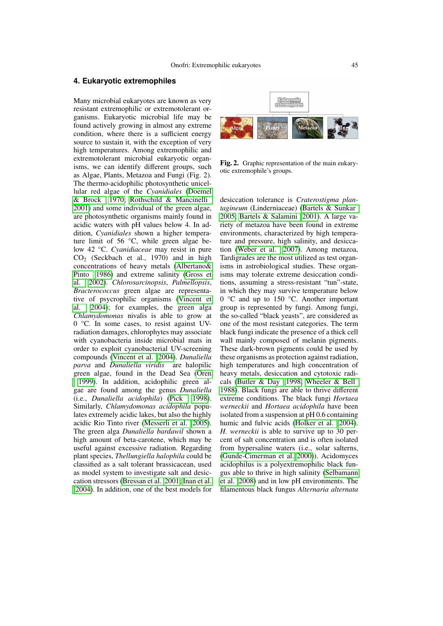#### **4. Eukaryotic extremophiles**

Many microbial eukaryotes are known as very resistant extremophilic or extremotolerant organisms. Eukaryotic microbial life may be found actively growing in almost any extreme condition, where there is a sufficient energy source to sustain it, with the exception of very high temperatures. Among extremophilic and extremotolerant microbial eukaryotic organisms, we can identify different groups, such as Algae, Plants, Metazoa and Fungi (Fig. 2). The thermo-acidophilic photosynthetic unicellular red algae of the *Cyanidiales* [\(Doemel](#page-5-12) [& Brock 1970;](#page-5-12) [Rothschild & Mancinelli](#page-6-2) [2001\)](#page-6-2) and some individual of the green algae, are photosynthetic organisms mainly found in acidic waters with pH values below 4. In addition, *Cyanidiales* shown a higher temperature limit of 56 °C, while green algae below 42 °C. *Cyanidiaceae* may resist in pure  $CO<sub>2</sub>$  (Seckbach et al., 1970) and in high concentrations of heavy metals [\(Albertano&](#page-5-13) [Pinto 1986\)](#page-5-13) and extreme salinity [\(Gross et](#page-5-14) [al. 2002\)](#page-5-14). *Chlorosarcinopsis*, *Palmellopsis*, *Bracterococcus* green algae are representative of psycrophilic organisms [\(Vincent et](#page-6-5) [al. 2004\)](#page-6-5); for examples, the green alga *Chlamydomonas* nivalis is able to grow at 0 °C. In some cases, to resist against UVradiation damages, chlorophytes may associate with cyanobacteria inside microbial mats in order to exploit cyanobacterial UV-screening compounds [\(Vincent et al. 2004\)](#page-6-5). *Dunaliella parva* and *Dunaliella viridis* are halopilic green algae, found in the Dead Sea [\(Oren](#page-6-6)

[1999\)](#page-6-6). In addition, acidophilic green algae are found among the genus *Dunaliella* (i.e., *Dunaliella acidophila*) [\(Pick 1998\)](#page-6-7). Similarly, *Chlamydomonas acidophila* populates extremely acidic lakes, but also the highly acidic Rio Tinto river [\(Messerli et al. 2005\)](#page-5-15). The green alga *Dunaliella bardawil* shown a high amount of beta-carotene, which may be useful against excessive radiation. Regarding plant species, *Thellungiella halophila* could be classified as a salt tolerant brassicacean, used as model system to investigate salt and desiccation stressors [\(Bressan et al. 2001;](#page-5-16) [Inan et al.](#page-5-17) [2004\)](#page-5-17). In addition, one of the best models for



Fig. 2. Graphic representation of the main eukaryotic extremophile's groups.

desiccation tolerance is *Craterostigma plantagineum* (Linderniaceae) [\(Bartels & Sunkar](#page-5-18) [2005;](#page-5-18) [Bartels & Salamini 2001\)](#page-5-19). A large variety of metazoa have been found in extreme environments, characterized by high temperature and pressure, high salinity, and desiccation [\(Weber et al. 2007\)](#page-6-8). Among metazoa, Tardigrades are the most utilized as test organisms in astrobiological studies. These organisms may tolerate extreme desiccation conditions, assuming a stress-resistant "tun"-state, in which they may survive temperature below 0 °C and up to 150 °C. Another important group is represented by fungi. Among fungi, the so-called "black yeasts", are considered as one of the most resistant categories. The term black fungi indicate the presence of a thick cell wall mainly composed of melanin pigments. These dark-brown pigments could be used by these organisms as protection against radiation, high temperatures and high concentration of heavy metals, desiccation and cytotoxic radicals [\(Butler & Day 1998;](#page-5-20) [Wheeler & Bell](#page-6-9) [1988\)](#page-6-9). Black fungi are able to thrive different extreme conditions. The black fungi *Hortaea werneckii* and *Hortaea acidophila* have been isolated from a suspension at pH 0.6 containing humic and fulvic acids [\(Holker et al. 2004\)](#page-5-21). *H. werneckii* is able to survive up to 30 percent of salt concentration and is often isolated from hypersaline waters (i.e., solar salterns, [\(Gunde-Cimerman et al. 2000\)](#page-5-22)). Acidomyces acidophilus is a polyextremophilic black fungus able to thrive in high salinity [\(Selbamann](#page-6-10) [et al. 2008\)](#page-6-10) and in low pH environments. The filamentous black fungus *Alternaria alternata*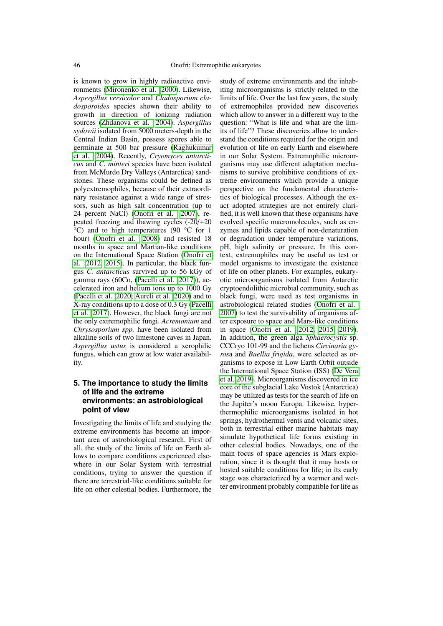is known to grow in highly radioactive environments [\(Mironenko et al. 2000\)](#page-5-23). Likewise, *Aspergillus versicolor* and *Cladosporium cladosporoides* species shown their ability to growth in direction of ionizing radiation sources [\(Zhdanova et al. 2004\)](#page-6-11). *Aspergillus sydowii* isolated from 5000 meters-depth in the Central Indian Basin, possess spores able to germinate at 500 bar pressure [\(Raghukumar](#page-6-12) [et al. 2004\)](#page-6-12). Recently, *Cryomyces antarcticus* and *C. minteri* species have been isolated from McMurdo Dry Valleys (Antarctica) sandstones. These organisms could be defined as polyextremophiles, because of their extraordinary resistance against a wide range of stressors, such as high salt concentration (up to 24 percent NaCl) [\(Onofri et al. 2007\)](#page-6-13), repeated freezing and thawing cycles (-20/+20 °C) and to high temperatures (90 °C for 1 hour) [\(Onofri et al. 2008\)](#page-5-24) and resisted 18 months in space and Martian-like conditions on the International Space Station [\(Onofri et](#page-5-25) [al. 2012,](#page-5-25) [2015\)](#page-6-14). In particular, the black fungus *C. antarcticus* survived up to 56 kGy of gamma rays (60Co, [\(Pacelli et al. 2017\)](#page-6-15)), accelerated iron and helium ions up to 1000 Gy [\(Pacelli et al. 2020;](#page-6-16) [Aureli et al. 2020\)](#page-5-26) and to X-ray conditions up to a dose of 0.3 Gy [\(Pacelli](#page-6-15) [et al. 2017\)](#page-6-15). However, the black fungi are not the only extremophilic fungi. *Acremonium* and *Chrysosporium spp.* have been isolated from alkaline soils of two limestone caves in Japan. *Aspergillus ustus* is considered a xerophilic fungus, which can grow at low water availability.

# **5. The importance to study the limits of life and the extreme environments: an astrobiological point of view**

Investigating the limits of life and studying the extreme environments has become an important area of astrobiological research. First of all, the study of the limits of life on Earth allows to compare conditions experienced elsewhere in our Solar System with terrestrial conditions, trying to answer the question if there are terrestrial-like conditions suitable for life on other celestial bodies. Furthermore, the study of extreme environments and the inhabiting microorganisms is strictly related to the limits of life. Over the last few years, the study of extremophiles provided new discoveries which allow to answer in a different way to the question: "What is life and what are the limits of life"? These discoveries allow to understand the conditions required for the origin and evolution of life on early Earth and elsewhere in our Solar System. Extremophilic microorganisms may use different adaptation mechanisms to survive prohibitive conditions of extreme environments which provide a unique perspective on the fundamental characteristics of biological processes. Although the exact adopted strategies are not entirely clarified, it is well known that these organisms have evolved specific macromolecules, such as enzymes and lipids capable of non-denaturation or degradation under temperature variations, pH, high salinity or pressure. In this context, extremophiles may be useful as test or model organisms to investigate the existence of life on other planets. For examples, eukaryotic microorganisms isolated from Antarctic cryptoendolithic microbial community, such as black fungi, were used as test organisms in astrobiological related studies [\(Onofri et al.](#page-6-13) [2007\)](#page-6-13) to test the survivability of organisms after exposure to space and Mars-like conditions in space [\(Onofri et al. 2012,](#page-5-25) [2015,](#page-6-14) [2019\)](#page-6-17). In addition, the green alga *Sphaerocystis* sp. CCCryo 101-99 and the lichens *Circinaria gyros*a and *Buellia frigida*, were selected as organisms to expose in Low Earth Orbit outside the International Space Station (ISS) [\(De Vera](#page-5-27) [et al. 2019\)](#page-5-27). Microorganisms discovered in ice core of the subglacial Lake Vostok (Antarctica) may be utilized as tests for the search of life on the Jupiter's moon Europa. Likewise, hyperthermophilic microorganisms isolated in hot springs, hydrothermal vents and volcanic sites, both in terrestrial either marine habitats may simulate hypothetical life forms existing in other celestial bodies. Nowadays, one of the main focus of space agencies is Mars exploration, since it is thought that it may hosts or hosted suitable conditions for life; in its early stage was characterized by a warmer and wetter environment probably compatible for life as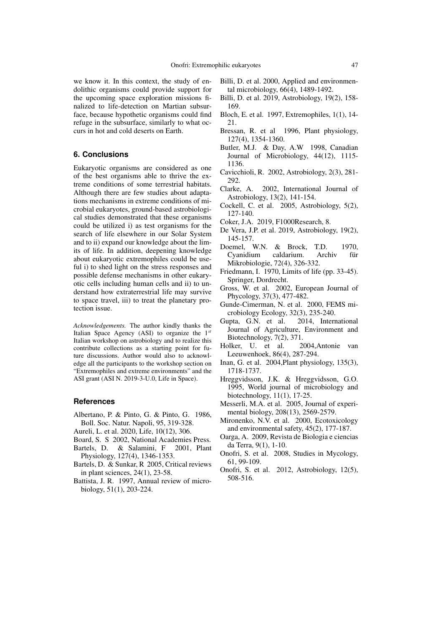we know it. In this context, the study of endolithic organisms could provide support for the upcoming space exploration missions finalized to life-detection on Martian subsurface, because hypothetic organisms could find refuge in the subsurface, similarly to what occurs in hot and cold deserts on Earth.

## **6. Conclusions**

Eukaryotic organisms are considered as one of the best organisms able to thrive the extreme conditions of some terrestrial habitats. Although there are few studies about adaptations mechanisms in extreme conditions of microbial eukaryotes, ground-based astrobiological studies demonstrated that these organisms could be utilized i) as test organisms for the search of life elsewhere in our Solar System and to ii) expand our knowledge about the limits of life. In addition, deepening knowledge about eukaryotic extremophiles could be useful i) to shed light on the stress responses and possible defense mechanisms in other eukaryotic cells including human cells and ii) to understand how extraterrestrial life may survive to space travel, iii) to treat the planetary protection issue.

*Acknowledgements.* The author kindly thanks the Italian Space Agency (ASI) to organize the 1*st* Italian workshop on astrobiology and to realize this contribute collections as a starting point for future discussions. Author would also to acknowledge all the participants to the workshop section on "Extremophiles and extreme environments" and the ASI grant (ASI N. 2019-3-U.0, Life in Space).

## **References**

- <span id="page-5-13"></span>Albertano, P. & Pinto, G. & Pinto, G. 1986, Boll. Soc. Natur. Napoli, 95, 319-328.
- <span id="page-5-26"></span>Aureli, L. et al. 2020, Life, 10(12), 306.
- <span id="page-5-1"></span>Board, S. S 2002, National Academies Press.
- <span id="page-5-19"></span>Bartels, D. & Salamini, F 2001, Plant Physiology, 127(4), 1346-1353.
- <span id="page-5-18"></span>Bartels, D. & Sunkar, R 2005, Critical reviews in plant sciences, 24(1), 23-58.
- <span id="page-5-7"></span>Battista, J. R. 1997, Annual review of microbiology, 51(1), 203-224.
- <span id="page-5-10"></span>Billi, D. et al. 2000, Applied and environmental microbiology, 66(4), 1489-1492.
- <span id="page-5-11"></span>Billi, D. et al. 2019, Astrobiology, 19(2), 158- 169.
- <span id="page-5-6"></span>Bloch, E. et al. 1997, Extremophiles, 1(1), 14- 21.
- <span id="page-5-16"></span>Bressan, R. et al 1996, Plant physiology, 127(4), 1354-1360.
- <span id="page-5-20"></span>Butler, M.J. & Day, A.W 1998, Canadian Journal of Microbiology, 44(12), 1115- 1136.
- <span id="page-5-4"></span>Cavicchioli, R. 2002, Astrobiology, 2(3), 281- 292.
- <span id="page-5-2"></span>Clarke, A. 2002, International Journal of Astrobiology, 13(2), 141-154.
- <span id="page-5-9"></span>Cockell, C. et al. 2005, Astrobiology, 5(2), 127-140.
- <span id="page-5-0"></span>Coker, J.A. 2019, F1000Research, 8.
- <span id="page-5-27"></span>De Vera, J.P. et al. 2019, Astrobiology, 19(2), 145-157.
- <span id="page-5-12"></span>Doemel, W.N. & Brock, T.D. 1970, Cyanidium caldarium. Archiv für Mikrobiologie, 72(4), 326-332.
- <span id="page-5-8"></span>Friedmann, I. 1970, Limits of life (pp. 33-45). Springer, Dordrecht.
- <span id="page-5-14"></span>Gross, W. et al. 2002, European Journal of Phycology, 37(3), 477-482.
- <span id="page-5-22"></span>Gunde-Cimerman, N. et al. 2000, FEMS microbiology Ecology, 32(3), 235-240.
- <span id="page-5-5"></span>Gupta, G.N. et al. 2014, International Journal of Agriculture, Environment and Biotechnology, 7(2), 371.
- <span id="page-5-21"></span>Holker, U. et al. 2004,Antonie van Leeuwenhoek, 86(4), 287-294.
- <span id="page-5-17"></span>Inan, G. et al. 2004,Plant physiology, 135(3), 1718-1737.
- Hreggvidsson, J.K. & Hreggvidsson, G.O. 1995, World journal of microbiology and biotechnology, 11(1), 17-25.
- <span id="page-5-15"></span>Messerli, M.A. et al. 2005, Journal of experimental biology, 208(13), 2569-2579.
- <span id="page-5-23"></span>Mironenko, N.V. et al. 2000, Ecotoxicology and environmental safety, 45(2), 177-187.
- <span id="page-5-3"></span>Oarga, A. 2009, Revista de Biologia e ciencias da Terra, 9(1), 1-10.
- <span id="page-5-24"></span>Onofri, S. et al. 2008, Studies in Mycology, 61, 99-109.
- <span id="page-5-25"></span>Onofri, S. et al. 2012, Astrobiology, 12(5), 508-516.